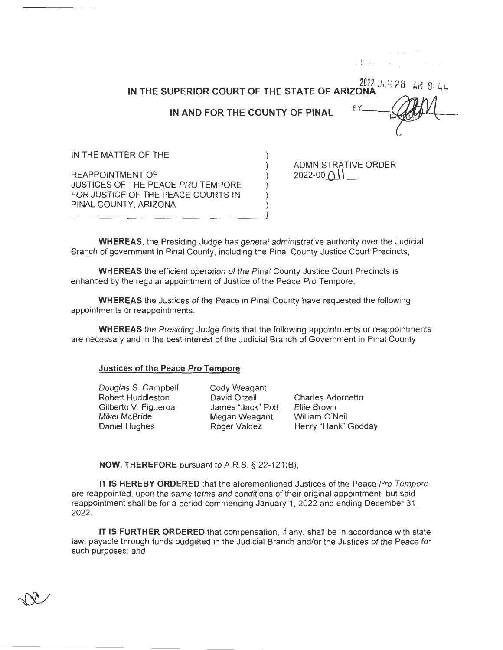2022 JAH 28 AM 8:44 IN THE SUPERIOR COURT OF THE STATE OF ARIZONA £Υ IN AND FOR THE COUNTY OF PINAL IN THE MATTER OF THE ADMNISTRATIVE ORDER

REAPPOINTMENT OF JUSTICES OF THE PEACE PRO TEMPORE FOR JUSTICE OF THE PEACE COURTS IN PINAL COUNTY, ARIZONA

 $2022 - 00$   $\bigcap \{$ 

. !. ,.

**WHEREAS,** the Presiding Judge has general administrative authority over the Judicial Branch of government in Pinal County, including the Pinal County Justice Court Precincts,

**WHEREAS** the efficient operation of the Pinal County Justice Court Precincts is enhanced by the regular appointment of Justice of the Peace Pro Tempore,

**WHEREAS** the Justices of the Peace in Pinal County have requested the following appointments or reappointments,

**WHEREAS** the Presiding Judge finds that the following appointments or reappointments are necessary and in the best interest of the Judicial Branch of Government in Pinal County

## **Justices of the Peace Pro Tempore**

Douglas S. Campbell Robert Huddleston Gilberto V. Figueroa **Mikel McBride**  Daniel Hughes

Cody Weagant David Orzell James "Jack" Pritt Megan Weagant Roger Valdez

Charles Adornetto Ellie Brown William O'Neil Henry "Hank" Gooday

**NOW, THEREFORE** pursuant to AR.S. § 22-121(8),

IT **IS HEREBY ORDERED** that the aforementioned Justices of the Peace Pro Tempore are reappointed, upon the same terms and conditions of their original appointment, but said reappointment shall be for a period commencing January 1, 2022 and ending December 31 , 2022.

**IT IS FURTHER ORDERED** that compensation, if any, shall be in accordance with state law; payable through funds budgeted in the Judicial Branch and/or the Justices of the Peace for such purposes; and